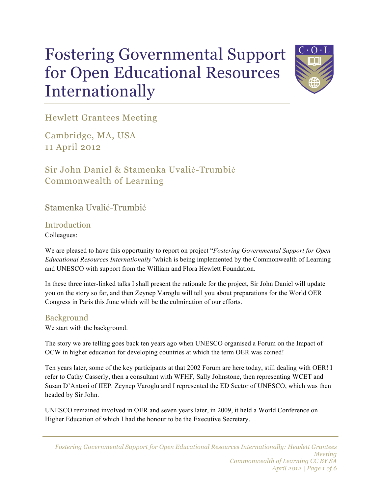# Fostering Governmental Support for Open Educational Resources Internationally



Hewlett Grantees Meeting

Cambridge, MA, USA 11 April 2012

Sir John Daniel & Stamenka Uvalić-Trumbić Commonwealth of Learning

Stamenka Uvalić-Trumbić

**Introduction** Colleagues:

We are pleased to have this opportunity to report on project "*Fostering Governmental Support for Open Educational Resources Internationally"*which is being implemented by the Commonwealth of Learning and UNESCO with support from the William and Flora Hewlett Foundation*.*

In these three inter-linked talks I shall present the rationale for the project, Sir John Daniel will update you on the story so far, and then Zeynep Varoglu will tell you about preparations for the World OER Congress in Paris this June which will be the culmination of our efforts.

## Background

We start with the background.

The story we are telling goes back ten years ago when UNESCO organised a Forum on the Impact of OCW in higher education for developing countries at which the term OER was coined!

Ten years later, some of the key participants at that 2002 Forum are here today, still dealing with OER! I refer to Cathy Casserly, then a consultant with WFHF, Sally Johnstone, then representing WCET and Susan D'Antoni of IIEP. Zeynep Varoglu and I represented the ED Sector of UNESCO, which was then headed by Sir John.

UNESCO remained involved in OER and seven years later, in 2009, it held a World Conference on Higher Education of which I had the honour to be the Executive Secretary.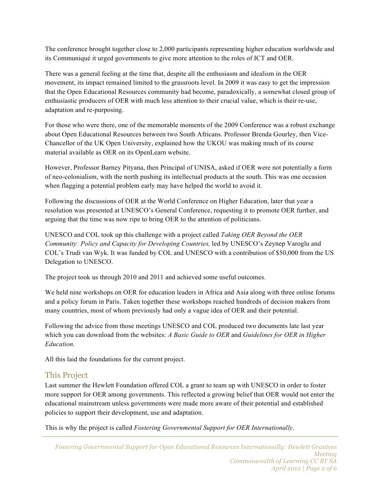The conference brought together close to 2,000 participants representing higher education worldwide and its Communiqué it urged governments to give more attention to the roles of ICT and OER.

There was a general feeling at the time that, despite all the enthusiasm and idealism in the OER movement, its impact remained limited to the grassroots level. In 2009 it was easy to get the impression that the Open Educational Resources community had become, paradoxically, a somewhat closed group of enthusiastic producers of OER with much less attention to their crucial value, which is their re-use, adaptation and re-purposing.

For those who were there, one of the memorable moments of the 2009 Conference was a robust exchange about Open Educational Resources between two South Africans. Professor Brenda Gourley, then Vice-Chancellor of the UK Open University, explained how the UKOU was making much of its course material available as OER on its OpenLearn website.

However, Professor Barney Pityana, then Principal of UNISA, asked if OER were not potentially a form of neo-colonialism, with the north pushing its intellectual products at the south. This was one occasion when flagging a potential problem early may have helped the world to avoid it.

Following the discussions of OER at the World Conference on Higher Education, later that year a resolution was presented at UNESCO's General Conference, requesting it to promote OER further, and arguing that the time was now ripe to bring OER to the attention of politicians.

UNESCO and COL took up this challenge with a project called *Taking OER Beyond the OER Community: Policy and Capacity for Developing Countries,* led by UNESCO's Zeynep Varoglu and COL's Trudi van Wyk. It was funded by COL and UNESCO with a contribution of \$50,000 from the US Delegation to UNESCO.

The project took us through 2010 and 2011 and achieved some useful outcomes.

We held nine workshops on OER for education leaders in Africa and Asia along with three online forums and a policy forum in Paris. Taken together these workshops reached hundreds of decision makers from many countries, most of whom previously had only a vague idea of OER and their potential.

Following the advice from those meetings UNESCO and COL produced two documents late last year which you can download from the websites: *A Basic Guide to OER* and *Guidelines for OER in Higher Education*.

All this laid the foundations for the current project.

## This Project

Last summer the Hewlett Foundation offered COL a grant to team up with UNESCO in order to foster more support for OER among governments. This reflected a growing belief that OER would not enter the educational mainstream unless governments were made more aware of their potential and established policies to support their development, use and adaptation.

This is why the project is called *Fostering Governmental Support for OER Internationally*.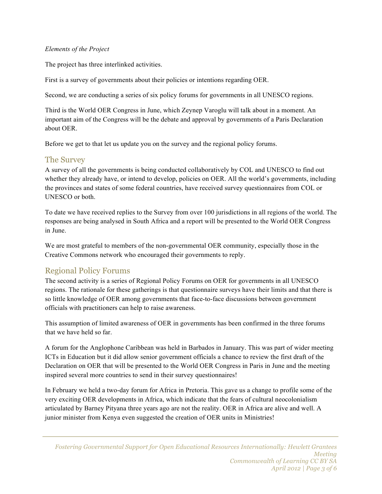#### *Elements of the Project*

The project has three interlinked activities.

First is a survey of governments about their policies or intentions regarding OER.

Second, we are conducting a series of six policy forums for governments in all UNESCO regions.

Third is the World OER Congress in June, which Zeynep Varoglu will talk about in a moment. An important aim of the Congress will be the debate and approval by governments of a Paris Declaration about OER.

Before we get to that let us update you on the survey and the regional policy forums.

## The Survey

A survey of all the governments is being conducted collaboratively by COL and UNESCO to find out whether they already have, or intend to develop, policies on OER. All the world's governments, including the provinces and states of some federal countries, have received survey questionnaires from COL or UNESCO or both.

To date we have received replies to the Survey from over 100 jurisdictions in all regions of the world. The responses are being analysed in South Africa and a report will be presented to the World OER Congress in June.

We are most grateful to members of the non-governmental OER community, especially those in the Creative Commons network who encouraged their governments to reply.

## Regional Policy Forums

The second activity is a series of Regional Policy Forums on OER for governments in all UNESCO regions. The rationale for these gatherings is that questionnaire surveys have their limits and that there is so little knowledge of OER among governments that face-to-face discussions between government officials with practitioners can help to raise awareness.

This assumption of limited awareness of OER in governments has been confirmed in the three forums that we have held so far.

A forum for the Anglophone Caribbean was held in Barbados in January. This was part of wider meeting ICTs in Education but it did allow senior government officials a chance to review the first draft of the Declaration on OER that will be presented to the World OER Congress in Paris in June and the meeting inspired several more countries to send in their survey questionnaires!

In February we held a two-day forum for Africa in Pretoria. This gave us a change to profile some of the very exciting OER developments in Africa, which indicate that the fears of cultural neocolonialism articulated by Barney Pityana three years ago are not the reality. OER in Africa are alive and well. A junior minister from Kenya even suggested the creation of OER units in Ministries!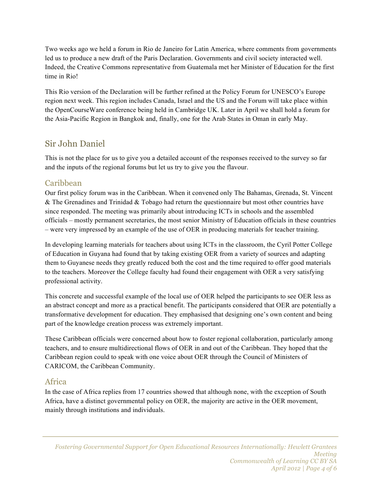Two weeks ago we held a forum in Rio de Janeiro for Latin America, where comments from governments led us to produce a new draft of the Paris Declaration. Governments and civil society interacted well. Indeed, the Creative Commons representative from Guatemala met her Minister of Education for the first time in Rio!

This Rio version of the Declaration will be further refined at the Policy Forum for UNESCO's Europe region next week. This region includes Canada, Israel and the US and the Forum will take place within the OpenCourseWare conference being held in Cambridge UK. Later in April we shall hold a forum for the Asia-Pacific Region in Bangkok and, finally, one for the Arab States in Oman in early May.

# Sir John Daniel

This is not the place for us to give you a detailed account of the responses received to the survey so far and the inputs of the regional forums but let us try to give you the flavour.

## Caribbean

Our first policy forum was in the Caribbean. When it convened only The Bahamas, Grenada, St. Vincent & The Grenadines and Trinidad & Tobago had return the questionnaire but most other countries have since responded. The meeting was primarily about introducing ICTs in schools and the assembled officials – mostly permanent secretaries, the most senior Ministry of Education officials in these countries – were very impressed by an example of the use of OER in producing materials for teacher training.

In developing learning materials for teachers about using ICTs in the classroom, the Cyril Potter College of Education in Guyana had found that by taking existing OER from a variety of sources and adapting them to Guyanese needs they greatly reduced both the cost and the time required to offer good materials to the teachers. Moreover the College faculty had found their engagement with OER a very satisfying professional activity.

This concrete and successful example of the local use of OER helped the participants to see OER less as an abstract concept and more as a practical benefit. The participants considered that OER are potentially a transformative development for education. They emphasised that designing one's own content and being part of the knowledge creation process was extremely important.

These Caribbean officials were concerned about how to foster regional collaboration, particularly among teachers, and to ensure multidirectional flows of OER in and out of the Caribbean. They hoped that the Caribbean region could to speak with one voice about OER through the Council of Ministers of CARICOM, the Caribbean Community.

## Africa

In the case of Africa replies from 17 countries showed that although none, with the exception of South Africa, have a distinct governmental policy on OER, the majority are active in the OER movement, mainly through institutions and individuals.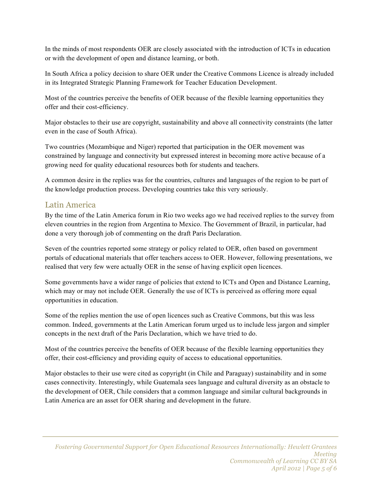In the minds of most respondents OER are closely associated with the introduction of ICTs in education or with the development of open and distance learning, or both.

In South Africa a policy decision to share OER under the Creative Commons Licence is already included in its Integrated Strategic Planning Framework for Teacher Education Development.

Most of the countries perceive the benefits of OER because of the flexible learning opportunities they offer and their cost-efficiency.

Major obstacles to their use are copyright, sustainability and above all connectivity constraints (the latter even in the case of South Africa).

Two countries (Mozambique and Niger) reported that participation in the OER movement was constrained by language and connectivity but expressed interest in becoming more active because of a growing need for quality educational resources both for students and teachers.

A common desire in the replies was for the countries, cultures and languages of the region to be part of the knowledge production process. Developing countries take this very seriously.

## Latin America

By the time of the Latin America forum in Rio two weeks ago we had received replies to the survey from eleven countries in the region from Argentina to Mexico. The Government of Brazil, in particular, had done a very thorough job of commenting on the draft Paris Declaration.

Seven of the countries reported some strategy or policy related to OER, often based on government portals of educational materials that offer teachers access to OER. However, following presentations, we realised that very few were actually OER in the sense of having explicit open licences.

Some governments have a wider range of policies that extend to ICTs and Open and Distance Learning, which may or may not include OER. Generally the use of ICTs is perceived as offering more equal opportunities in education.

Some of the replies mention the use of open licences such as Creative Commons, but this was less common. Indeed, governments at the Latin American forum urged us to include less jargon and simpler concepts in the next draft of the Paris Declaration, which we have tried to do.

Most of the countries perceive the benefits of OER because of the flexible learning opportunities they offer, their cost-efficiency and providing equity of access to educational opportunities.

Major obstacles to their use were cited as copyright (in Chile and Paraguay) sustainability and in some cases connectivity. Interestingly, while Guatemala sees language and cultural diversity as an obstacle to the development of OER, Chile considers that a common language and similar cultural backgrounds in Latin America are an asset for OER sharing and development in the future.